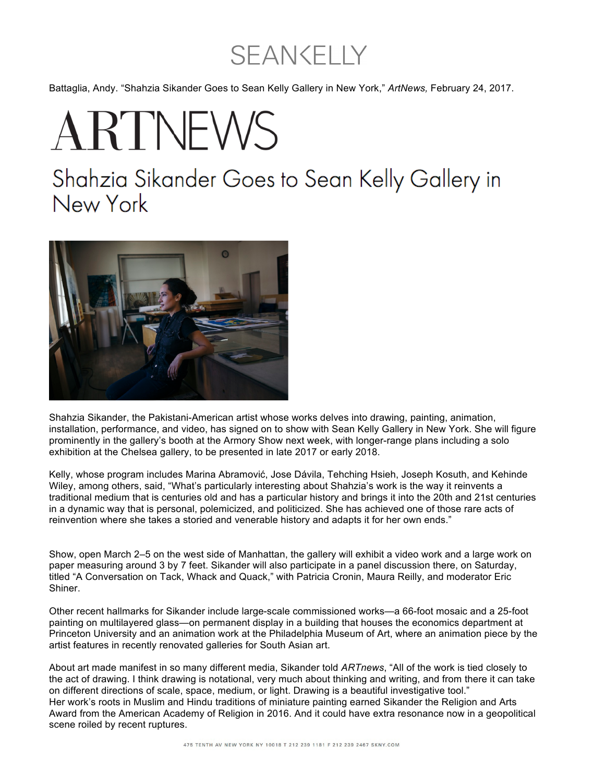## **SEAN CELLY**

Battaglia, Andy. "Shahzia Sikander Goes to Sean Kelly Gallery in New York," *ArtNews,* February 24, 2017.

## ARTNEWS

## Shahzia Sikander Goes to Sean Kelly Gallery in New York



Shahzia Sikander, the Pakistani-American artist whose works delves into drawing, painting, animation, installation, performance, and video, has signed on to show with Sean Kelly Gallery in New York. She will figure prominently in the gallery's booth at the Armory Show next week, with longer-range plans including a solo exhibition at the Chelsea gallery, to be presented in late 2017 or early 2018.

Kelly, whose program includes Marina Abramović, Jose Dávila, Tehching Hsieh, Joseph Kosuth, and Kehinde Wiley, among others, said, "What's particularly interesting about Shahzia's work is the way it reinvents a traditional medium that is centuries old and has a particular history and brings it into the 20th and 21st centuries in a dynamic way that is personal, polemicized, and politicized. She has achieved one of those rare acts of reinvention where she takes a storied and venerable history and adapts it for her own ends."

Show, open March 2–5 on the west side of Manhattan, the gallery will exhibit a video work and a large work on paper measuring around 3 by 7 feet. Sikander will also participate in a panel discussion there, on Saturday, titled "A Conversation on Tack, Whack and Quack," with Patricia Cronin, Maura Reilly, and moderator Eric Shiner.

Other recent hallmarks for Sikander include large-scale commissioned works—a 66-foot mosaic and a 25-foot painting on multilayered glass—on permanent display in a building that houses the economics department at Princeton University and an animation work at the Philadelphia Museum of Art, where an animation piece by the artist features in recently renovated galleries for South Asian art.

About art made manifest in so many different media, Sikander told *ARTnews*, "All of the work is tied closely to the act of drawing. I think drawing is notational, very much about thinking and writing, and from there it can take on different directions of scale, space, medium, or light. Drawing is a beautiful investigative tool." Her work's roots in Muslim and Hindu traditions of miniature painting earned Sikander the Religion and Arts Award from the American Academy of Religion in 2016. And it could have extra resonance now in a geopolitical scene roiled by recent ruptures.